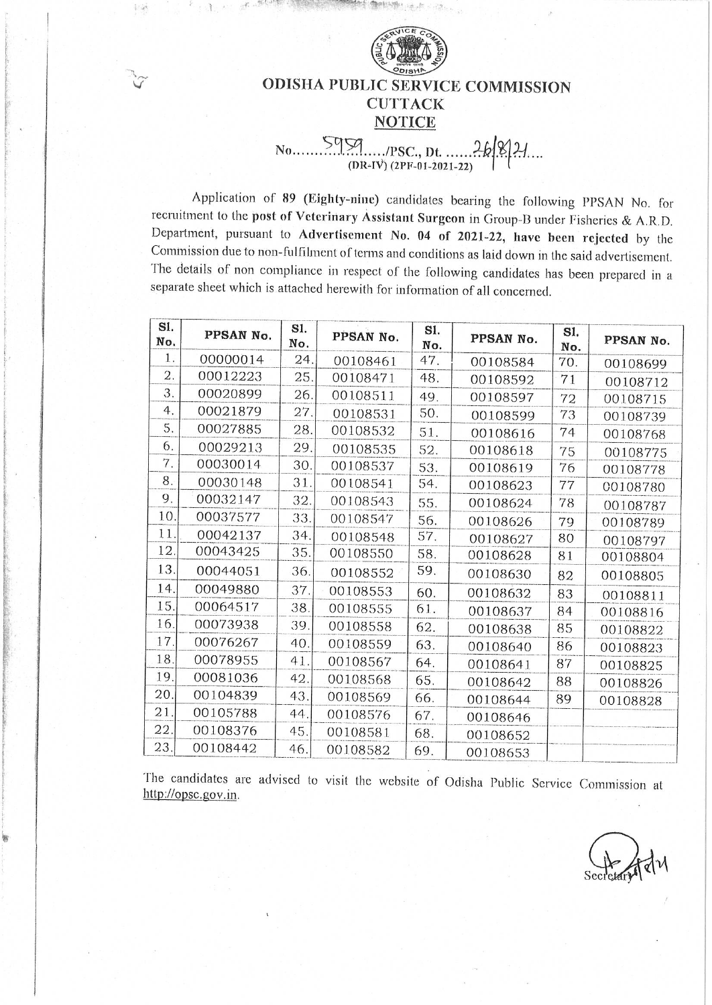

# **ODISHA PUBLIC SERVICE COMMISSION CUTTACK NOTICE**

# $5959$  (PSC, Dt. ..... 26 9)  $No...$

Application of 89 (Eighty-nine) candidates bearing the following PPSAN No. for recruitment to the post of Veterinary Assistant Surgeon in Group-B under Fisheries & A.R.D. Department, pursuant to Advertisement No. 04 of 2021-22, have been rejected by the Commission due to non-fulfilment of terms and conditions as laid down in the said advertisement. The details of non compliance in respect of the following candidates has been prepared in a separate sheet which is attached herewith for information of all concerned.

| SI.<br>No. | PPSAN No. | SI.<br>No. | PPSAN No. | S1.<br>No. | PPSAN No. | SI.<br>No. | PPSAN No. |
|------------|-----------|------------|-----------|------------|-----------|------------|-----------|
| 1.         | 00000014  | 24.        | 00108461  | 47.        | 00108584  | 70.        | 00108699  |
| 2.         | 00012223  | 25.        | 00108471  | 48.        | 00108592  | 71         | 00108712  |
| 3.         | 00020899  | 26.        | 00108511  | 49.        | 00108597  | 72         | 00108715  |
| 4.         | 00021879  | 27.        | 00108531  | 50.        | 00108599  | 73         | 00108739  |
| 5.         | 00027885  | 28.        | 00108532  | 51.        | 00108616  | 74         | 00108768  |
| 6.         | 00029213  | 29.        | 00108535  | 52.        | 00108618  | 75         | 00108775  |
| 7.         | 00030014  | 30.        | 00108537  | 53.        | 00108619  | 76         | 00108778  |
| 8.         | 00030148  | 31.        | 00108541  | 54.        | 00108623  | 77         | CO108780  |
| 9.         | 00032147  | 32.        | 00108543  | 55.        | 00108624  | 78         | 00108787  |
| 10         | 00037577  | 33.        | 00108547  | 56.        | 00108626  | 79         | 00108789  |
| 11         | 00042137  | 34.        | 00108548  | 57.        | 00108627  | 80         | 00108797  |
| 12.        | 00043425  | 35.        | 00108550  | 58.        | 00108628  | 81         | 00108804  |
| 13.        | 00044051  | 36.        | 00108552  | 59.        | 00108630  | 82         | 00108805  |
| 14.        | 00049880  | 37.        | 00108553  | 60.        | 00108632  | 83         | 00108811  |
| 15.        | 00064517  | 38.        | 00108555  | 61.        | 00108637  | 84         | 00108816  |
| 16.        | 00073938  | 39.        | 00108558  | 62.        | 00108638  | 85         | 00108822  |
| 17         | 00076267  | 40         | 00108559  | 63.        | 00108640  | 86         | 00108823  |
| 18.        | 00078955  | 41         | 00108567  | 64.        | 00108641  | 87         | 00108825  |
| 19.        | 00081036  | 42.        | 00108568  | 65.        | 00108642  | 88         | 00108826  |
| 20         | 00104839  | 43.        | 00108569  | 66.        | 00108644  | 89         | 00108828  |
| 21         | 00105788  | 44.        | 00108576  | 67.        | 00108646  |            |           |
| 22         | 00108376  | 45.        | 00108581  | 68.        | 00108652  |            |           |
| 23         | 00108442  | 46.        | 00108582  | 69.        | 00108653  |            |           |

The candidates are advised to visit the website of Odisha Public Service Commission at http://opsc.gov.in.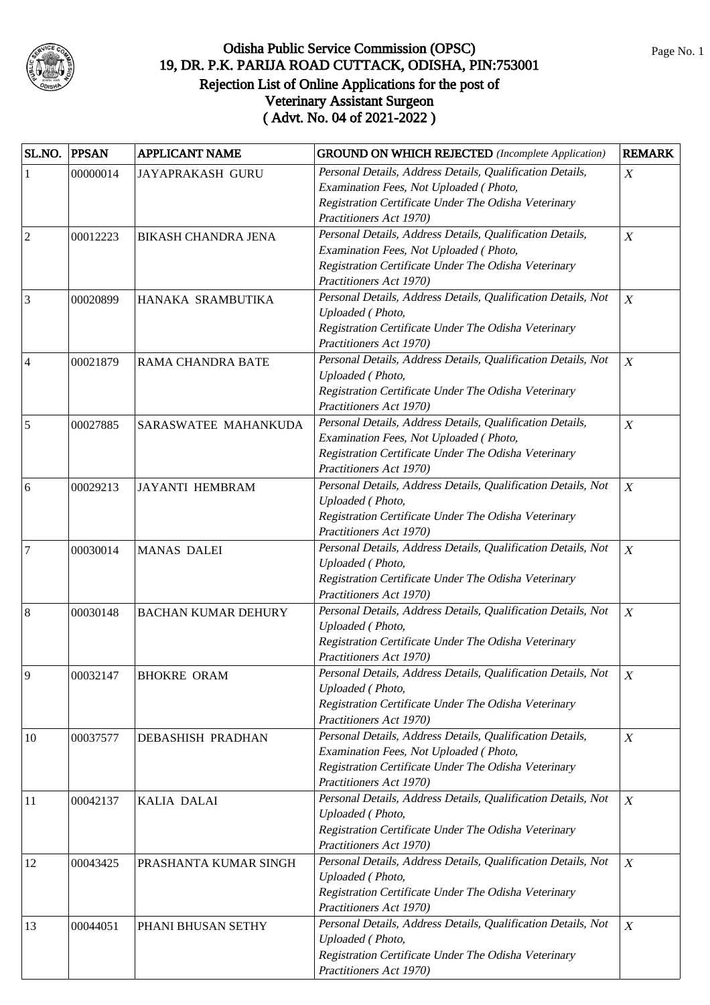

| SL.NO.                   | <b>PPSAN</b> | <b>APPLICANT NAME</b>      | <b>GROUND ON WHICH REJECTED</b> (Incomplete Application)      | <b>REMARK</b>    |
|--------------------------|--------------|----------------------------|---------------------------------------------------------------|------------------|
| $\mathbf{1}$             | 00000014     | <b>JAYAPRAKASH GURU</b>    | Personal Details, Address Details, Qualification Details,     | $\boldsymbol{X}$ |
|                          |              |                            | Examination Fees, Not Uploaded (Photo,                        |                  |
|                          |              |                            | Registration Certificate Under The Odisha Veterinary          |                  |
|                          |              |                            | Practitioners Act 1970)                                       |                  |
| $\overline{2}$           | 00012223     | <b>BIKASH CHANDRA JENA</b> | Personal Details, Address Details, Qualification Details,     | $\boldsymbol{X}$ |
|                          |              |                            | Examination Fees, Not Uploaded (Photo,                        |                  |
|                          |              |                            | Registration Certificate Under The Odisha Veterinary          |                  |
|                          |              |                            | Practitioners Act 1970)                                       |                  |
| 3                        | 00020899     | HANAKA SRAMBUTIKA          | Personal Details, Address Details, Qualification Details, Not | $\boldsymbol{X}$ |
|                          |              |                            | Uploaded (Photo,                                              |                  |
|                          |              |                            | Registration Certificate Under The Odisha Veterinary          |                  |
|                          |              |                            | Practitioners Act 1970)                                       |                  |
| $\overline{\mathcal{L}}$ | 00021879     | RAMA CHANDRA BATE          | Personal Details, Address Details, Qualification Details, Not | $\boldsymbol{X}$ |
|                          |              |                            | Uploaded (Photo,                                              |                  |
|                          |              |                            | Registration Certificate Under The Odisha Veterinary          |                  |
|                          |              |                            | Practitioners Act 1970)                                       |                  |
| 5                        | 00027885     | SARASWATEE MAHANKUDA       | Personal Details, Address Details, Qualification Details,     | $\boldsymbol{X}$ |
|                          |              |                            | Examination Fees, Not Uploaded (Photo,                        |                  |
|                          |              |                            | Registration Certificate Under The Odisha Veterinary          |                  |
|                          |              |                            | Practitioners Act 1970)                                       |                  |
| 6                        | 00029213     | <b>JAYANTI HEMBRAM</b>     | Personal Details, Address Details, Qualification Details, Not | $\boldsymbol{X}$ |
|                          |              |                            | Uploaded (Photo,                                              |                  |
|                          |              |                            | Registration Certificate Under The Odisha Veterinary          |                  |
|                          |              |                            | Practitioners Act 1970)                                       |                  |
| 7                        | 00030014     | <b>MANAS DALEI</b>         | Personal Details, Address Details, Qualification Details, Not | $\boldsymbol{X}$ |
|                          |              |                            | Uploaded (Photo,                                              |                  |
|                          |              |                            | Registration Certificate Under The Odisha Veterinary          |                  |
|                          |              |                            | Practitioners Act 1970)                                       |                  |
| 8                        | 00030148     | <b>BACHAN KUMAR DEHURY</b> | Personal Details, Address Details, Qualification Details, Not | $\boldsymbol{X}$ |
|                          |              |                            | Uploaded (Photo,                                              |                  |
|                          |              |                            | Registration Certificate Under The Odisha Veterinary          |                  |
|                          |              |                            | Practitioners Act 1970)                                       |                  |
| 9                        | 00032147     | <b>BHOKRE ORAM</b>         | Personal Details, Address Details, Qualification Details, Not | $\boldsymbol{X}$ |
|                          |              |                            | Uploaded (Photo,                                              |                  |
|                          |              |                            | Registration Certificate Under The Odisha Veterinary          |                  |
|                          |              |                            | Practitioners Act 1970)                                       |                  |
| 10                       | 00037577     | <b>DEBASHISH PRADHAN</b>   | Personal Details, Address Details, Qualification Details,     | $\boldsymbol{X}$ |
|                          |              |                            | Examination Fees, Not Uploaded (Photo,                        |                  |
|                          |              |                            | Registration Certificate Under The Odisha Veterinary          |                  |
|                          |              |                            | Practitioners Act 1970)                                       |                  |
| 11                       | 00042137     | KALIA DALAI                | Personal Details, Address Details, Qualification Details, Not | $\boldsymbol{X}$ |
|                          |              |                            | Uploaded (Photo,                                              |                  |
|                          |              |                            | Registration Certificate Under The Odisha Veterinary          |                  |
|                          |              |                            | Practitioners Act 1970)                                       |                  |
| 12                       | 00043425     | PRASHANTA KUMAR SINGH      | Personal Details, Address Details, Qualification Details, Not | $\boldsymbol{X}$ |
|                          |              |                            | Uploaded (Photo,                                              |                  |
|                          |              |                            | Registration Certificate Under The Odisha Veterinary          |                  |
|                          |              |                            | Practitioners Act 1970)                                       |                  |
| 13                       | 00044051     | PHANI BHUSAN SETHY         | Personal Details, Address Details, Qualification Details, Not | $\boldsymbol{X}$ |
|                          |              |                            | Uploaded (Photo,                                              |                  |
|                          |              |                            | Registration Certificate Under The Odisha Veterinary          |                  |
|                          |              |                            | Practitioners Act 1970)                                       |                  |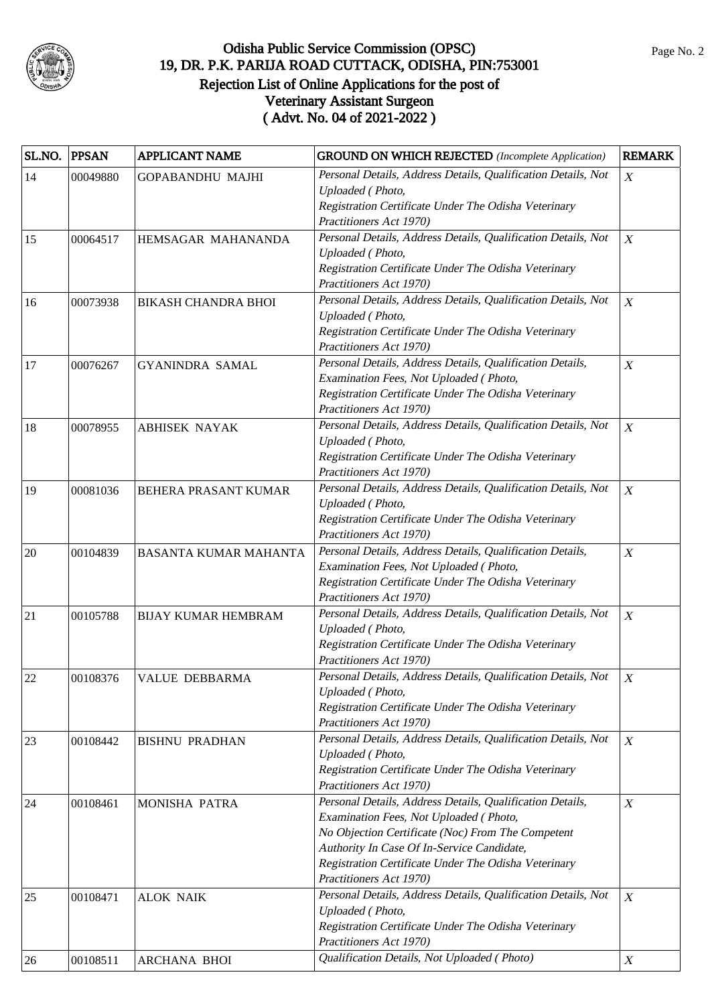

| SL.NO. | <b>PPSAN</b> | <b>APPLICANT NAME</b>      | <b>GROUND ON WHICH REJECTED</b> (Incomplete Application)                        | <b>REMARK</b>    |
|--------|--------------|----------------------------|---------------------------------------------------------------------------------|------------------|
| 14     | 00049880     | <b>GOPABANDHU MAJHI</b>    | Personal Details, Address Details, Qualification Details, Not                   | X                |
|        |              |                            | Uploaded (Photo,                                                                |                  |
|        |              |                            | Registration Certificate Under The Odisha Veterinary                            |                  |
|        |              |                            | Practitioners Act 1970)                                                         |                  |
| 15     | 00064517     | HEMSAGAR MAHANANDA         | Personal Details, Address Details, Qualification Details, Not                   | $\boldsymbol{X}$ |
|        |              |                            | Uploaded (Photo,                                                                |                  |
|        |              |                            | Registration Certificate Under The Odisha Veterinary                            |                  |
|        |              |                            | Practitioners Act 1970)                                                         |                  |
| 16     | 00073938     | <b>BIKASH CHANDRA BHOI</b> | Personal Details, Address Details, Qualification Details, Not                   | $\boldsymbol{X}$ |
|        |              |                            | Uploaded (Photo,                                                                |                  |
|        |              |                            | Registration Certificate Under The Odisha Veterinary                            |                  |
|        |              |                            | Practitioners Act 1970)                                                         |                  |
| 17     | 00076267     | <b>GYANINDRA SAMAL</b>     | Personal Details, Address Details, Qualification Details,                       | $\boldsymbol{X}$ |
|        |              |                            | Examination Fees, Not Uploaded (Photo,                                          |                  |
|        |              |                            | Registration Certificate Under The Odisha Veterinary                            |                  |
|        |              |                            | Practitioners Act 1970)                                                         |                  |
| 18     | 00078955     | <b>ABHISEK NAYAK</b>       | Personal Details, Address Details, Qualification Details, Not                   | $\boldsymbol{X}$ |
|        |              |                            | Uploaded (Photo,                                                                |                  |
|        |              |                            | Registration Certificate Under The Odisha Veterinary                            |                  |
|        |              |                            | Practitioners Act 1970)                                                         |                  |
| 19     | 00081036     | BEHERA PRASANT KUMAR       | Personal Details, Address Details, Qualification Details, Not                   | $\boldsymbol{X}$ |
|        |              |                            | Uploaded (Photo,                                                                |                  |
|        |              |                            | Registration Certificate Under The Odisha Veterinary                            |                  |
|        |              |                            | Practitioners Act 1970)                                                         |                  |
| $20\,$ | 00104839     | BASANTA KUMAR MAHANTA      | Personal Details, Address Details, Qualification Details,                       | $\overline{X}$   |
|        |              |                            | Examination Fees, Not Uploaded (Photo,                                          |                  |
|        |              |                            | Registration Certificate Under The Odisha Veterinary                            |                  |
|        |              |                            | Practitioners Act 1970)                                                         |                  |
| 21     | 00105788     | <b>BIJAY KUMAR HEMBRAM</b> | Personal Details, Address Details, Qualification Details, Not                   | $\boldsymbol{X}$ |
|        |              |                            | Uploaded (Photo,                                                                |                  |
|        |              |                            | Registration Certificate Under The Odisha Veterinary<br>Practitioners Act 1970) |                  |
|        |              |                            | Personal Details, Address Details, Qualification Details, Not                   |                  |
| 22     | 00108376     | <b>VALUE DEBBARMA</b>      | Uploaded (Photo,                                                                | X                |
|        |              |                            | Registration Certificate Under The Odisha Veterinary                            |                  |
|        |              |                            | Practitioners Act 1970)                                                         |                  |
|        |              |                            | Personal Details, Address Details, Qualification Details, Not                   | $\boldsymbol{X}$ |
| 23     | 00108442     | <b>BISHNU PRADHAN</b>      | Uploaded (Photo,                                                                |                  |
|        |              |                            | Registration Certificate Under The Odisha Veterinary                            |                  |
|        |              |                            | Practitioners Act 1970)                                                         |                  |
| 24     | 00108461     | MONISHA PATRA              | Personal Details, Address Details, Qualification Details,                       | X                |
|        |              |                            | Examination Fees, Not Uploaded (Photo,                                          |                  |
|        |              |                            | No Objection Certificate (Noc) From The Competent                               |                  |
|        |              |                            | Authority In Case Of In-Service Candidate,                                      |                  |
|        |              |                            | Registration Certificate Under The Odisha Veterinary                            |                  |
|        |              |                            | Practitioners Act 1970)                                                         |                  |
| 25     | 00108471     | <b>ALOK NAIK</b>           | Personal Details, Address Details, Qualification Details, Not                   | $\boldsymbol{X}$ |
|        |              |                            | Uploaded (Photo,                                                                |                  |
|        |              |                            | Registration Certificate Under The Odisha Veterinary                            |                  |
|        |              |                            | Practitioners Act 1970)                                                         |                  |
| 26     | 00108511     | <b>ARCHANA BHOI</b>        | Qualification Details, Not Uploaded (Photo)                                     | X                |
|        |              |                            |                                                                                 |                  |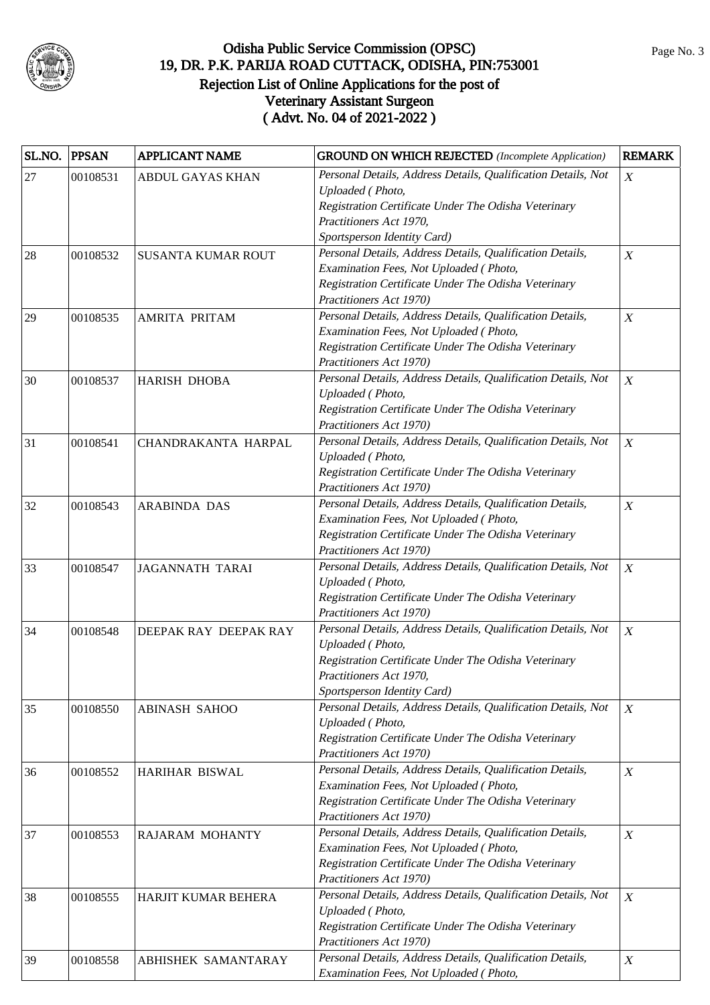

| Personal Details, Address Details, Qualification Details, Not<br>27<br>00108531<br><b>ABDUL GAYAS KHAN</b><br>Uploaded (Photo, |                  |
|--------------------------------------------------------------------------------------------------------------------------------|------------------|
|                                                                                                                                | X                |
|                                                                                                                                |                  |
| Registration Certificate Under The Odisha Veterinary                                                                           |                  |
| Practitioners Act 1970,                                                                                                        |                  |
| Sportsperson Identity Card)                                                                                                    |                  |
| Personal Details, Address Details, Qualification Details,<br>28<br>00108532<br><b>SUSANTA KUMAR ROUT</b>                       | X                |
| Examination Fees, Not Uploaded (Photo,                                                                                         |                  |
| Registration Certificate Under The Odisha Veterinary                                                                           |                  |
| Practitioners Act 1970)                                                                                                        |                  |
| Personal Details, Address Details, Qualification Details,<br>29<br>00108535<br><b>AMRITA PRITAM</b>                            | $\boldsymbol{X}$ |
| Examination Fees, Not Uploaded (Photo,                                                                                         |                  |
| Registration Certificate Under The Odisha Veterinary                                                                           |                  |
| Practitioners Act 1970)                                                                                                        |                  |
| Personal Details, Address Details, Qualification Details, Not<br>30<br>00108537<br>HARISH DHOBA                                | $\boldsymbol{X}$ |
| Uploaded (Photo,                                                                                                               |                  |
| Registration Certificate Under The Odisha Veterinary                                                                           |                  |
| Practitioners Act 1970)                                                                                                        |                  |
| Personal Details, Address Details, Qualification Details, Not<br>31<br>00108541<br>CHANDRAKANTA HARPAL                         | $\boldsymbol{X}$ |
| Uploaded (Photo,                                                                                                               |                  |
| Registration Certificate Under The Odisha Veterinary                                                                           |                  |
| Practitioners Act 1970)                                                                                                        |                  |
| Personal Details, Address Details, Qualification Details,<br>32<br>00108543<br><b>ARABINDA DAS</b>                             | $\boldsymbol{X}$ |
| Examination Fees, Not Uploaded (Photo,                                                                                         |                  |
| Registration Certificate Under The Odisha Veterinary                                                                           |                  |
| Practitioners Act 1970)                                                                                                        |                  |
| Personal Details, Address Details, Qualification Details, Not<br>33<br>00108547<br><b>JAGANNATH TARAI</b>                      | $\boldsymbol{X}$ |
| Uploaded (Photo,                                                                                                               |                  |
| Registration Certificate Under The Odisha Veterinary                                                                           |                  |
| Practitioners Act 1970)                                                                                                        |                  |
| Personal Details, Address Details, Qualification Details, Not<br>00108548<br>DEEPAK RAY DEEPAK RAY<br>34                       | X                |
| Uploaded (Photo,                                                                                                               |                  |
| Registration Certificate Under The Odisha Veterinary                                                                           |                  |
| Practitioners Act 1970,                                                                                                        |                  |
| Sportsperson Identity Card)                                                                                                    |                  |
| Personal Details, Address Details, Qualification Details, Not<br>00108550<br>35<br><b>ABINASH SAHOO</b>                        | $\boldsymbol{X}$ |
| Uploaded (Photo,                                                                                                               |                  |
| Registration Certificate Under The Odisha Veterinary<br>Practitioners Act 1970)                                                |                  |
| Personal Details, Address Details, Qualification Details,                                                                      |                  |
| 36<br>00108552<br>HARIHAR BISWAL                                                                                               | X                |
| Examination Fees, Not Uploaded (Photo,                                                                                         |                  |
| Registration Certificate Under The Odisha Veterinary<br>Practitioners Act 1970)                                                |                  |
| Personal Details, Address Details, Qualification Details,                                                                      |                  |
| 37<br>00108553<br>RAJARAM MOHANTY<br>Examination Fees, Not Uploaded (Photo,                                                    | $\boldsymbol{X}$ |
| Registration Certificate Under The Odisha Veterinary                                                                           |                  |
| Practitioners Act 1970)                                                                                                        |                  |
| Personal Details, Address Details, Qualification Details, Not                                                                  |                  |
| 38<br>00108555<br>HARJIT KUMAR BEHERA<br>Uploaded (Photo,                                                                      | X                |
| Registration Certificate Under The Odisha Veterinary                                                                           |                  |
| Practitioners Act 1970)                                                                                                        |                  |
| Personal Details, Address Details, Qualification Details,                                                                      | $\boldsymbol{X}$ |
| 00108558<br>39<br>ABHISHEK SAMANTARAY<br>Examination Fees, Not Uploaded (Photo,                                                |                  |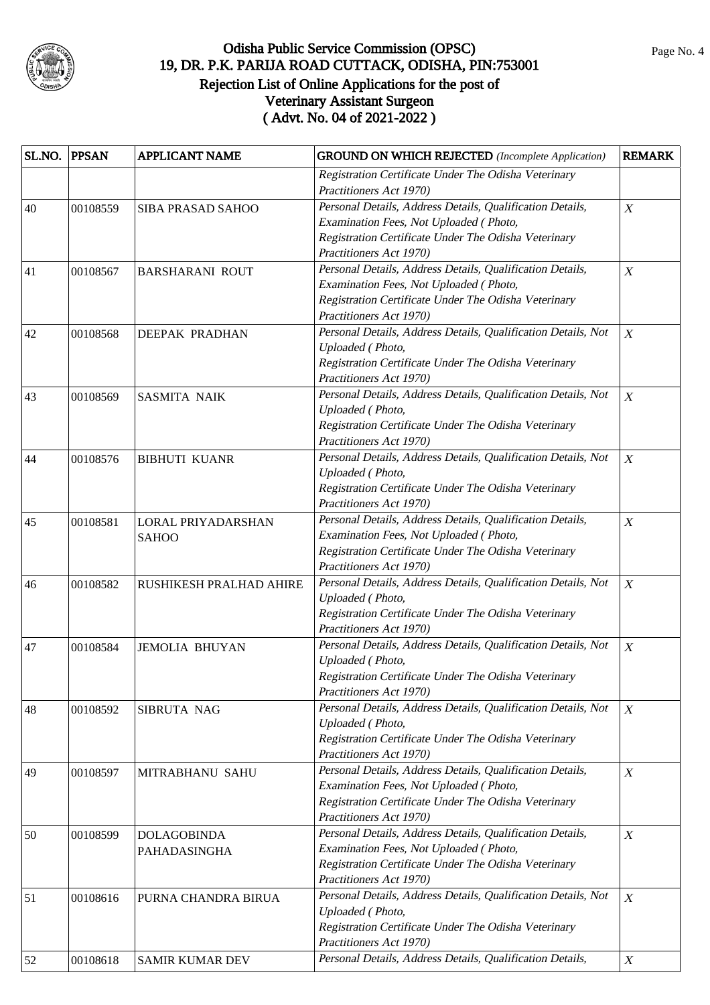

| SL.NO. | <b>PPSAN</b> | <b>APPLICANT NAME</b>   | <b>GROUND ON WHICH REJECTED</b> (Incomplete Application)      | <b>REMARK</b>    |
|--------|--------------|-------------------------|---------------------------------------------------------------|------------------|
|        |              |                         | Registration Certificate Under The Odisha Veterinary          |                  |
|        |              |                         | Practitioners Act 1970)                                       |                  |
| 40     | 00108559     | SIBA PRASAD SAHOO       | Personal Details, Address Details, Qualification Details,     | $\boldsymbol{X}$ |
|        |              |                         | Examination Fees, Not Uploaded (Photo,                        |                  |
|        |              |                         | Registration Certificate Under The Odisha Veterinary          |                  |
|        |              |                         | Practitioners Act 1970)                                       |                  |
| 41     | 00108567     | <b>BARSHARANI ROUT</b>  | Personal Details, Address Details, Qualification Details,     | $\boldsymbol{X}$ |
|        |              |                         | Examination Fees, Not Uploaded (Photo,                        |                  |
|        |              |                         | Registration Certificate Under The Odisha Veterinary          |                  |
|        |              |                         | Practitioners Act 1970)                                       |                  |
| 42     | 00108568     | <b>DEEPAK PRADHAN</b>   | Personal Details, Address Details, Qualification Details, Not | X                |
|        |              |                         | Uploaded (Photo,                                              |                  |
|        |              |                         | Registration Certificate Under The Odisha Veterinary          |                  |
|        |              |                         | Practitioners Act 1970)                                       |                  |
|        |              |                         | Personal Details, Address Details, Qualification Details, Not | $\boldsymbol{X}$ |
| 43     | 00108569     | <b>SASMITA NAIK</b>     | Uploaded (Photo,                                              |                  |
|        |              |                         | Registration Certificate Under The Odisha Veterinary          |                  |
|        |              |                         | Practitioners Act 1970)                                       |                  |
|        |              |                         | Personal Details, Address Details, Qualification Details, Not |                  |
| 44     | 00108576     | <b>BIBHUTI KUANR</b>    | Uploaded (Photo,                                              | $\boldsymbol{X}$ |
|        |              |                         | Registration Certificate Under The Odisha Veterinary          |                  |
|        |              |                         | Practitioners Act 1970)                                       |                  |
|        |              |                         |                                                               |                  |
| 45     | 00108581     | LORAL PRIYADARSHAN      | Personal Details, Address Details, Qualification Details,     | $\boldsymbol{X}$ |
|        |              | <b>SAHOO</b>            | Examination Fees, Not Uploaded (Photo,                        |                  |
|        |              |                         | Registration Certificate Under The Odisha Veterinary          |                  |
|        |              |                         | Practitioners Act 1970)                                       |                  |
| 46     | 00108582     | RUSHIKESH PRALHAD AHIRE | Personal Details, Address Details, Qualification Details, Not | $\boldsymbol{X}$ |
|        |              |                         | Uploaded (Photo,                                              |                  |
|        |              |                         | Registration Certificate Under The Odisha Veterinary          |                  |
|        |              |                         | Practitioners Act 1970)                                       |                  |
| 47     | 00108584     | <b>JEMOLIA BHUYAN</b>   | Personal Details, Address Details, Qualification Details, Not | $\boldsymbol{X}$ |
|        |              |                         | Uploaded (Photo,                                              |                  |
|        |              |                         | Registration Certificate Under The Odisha Veterinary          |                  |
|        |              |                         | Practitioners Act 1970)                                       |                  |
| 48     | 00108592     | SIBRUTA NAG             | Personal Details, Address Details, Qualification Details, Not | X                |
|        |              |                         | Uploaded (Photo,                                              |                  |
|        |              |                         | Registration Certificate Under The Odisha Veterinary          |                  |
|        |              |                         | Practitioners Act 1970)                                       |                  |
| 49     | 00108597     | MITRABHANU SAHU         | Personal Details, Address Details, Qualification Details,     | $\boldsymbol{X}$ |
|        |              |                         | Examination Fees, Not Uploaded (Photo,                        |                  |
|        |              |                         | Registration Certificate Under The Odisha Veterinary          |                  |
|        |              |                         | Practitioners Act 1970)                                       |                  |
| 50     | 00108599     | <b>DOLAGOBINDA</b>      | Personal Details, Address Details, Qualification Details,     | $\boldsymbol{X}$ |
|        |              | PAHADASINGHA            | Examination Fees, Not Uploaded (Photo,                        |                  |
|        |              |                         | Registration Certificate Under The Odisha Veterinary          |                  |
|        |              |                         | Practitioners Act 1970)                                       |                  |
| 51     | 00108616     | PURNA CHANDRA BIRUA     | Personal Details, Address Details, Qualification Details, Not | $\boldsymbol{X}$ |
|        |              |                         | Uploaded (Photo,                                              |                  |
|        |              |                         | Registration Certificate Under The Odisha Veterinary          |                  |
|        |              |                         | Practitioners Act 1970)                                       |                  |
| 52     | 00108618     | SAMIR KUMAR DEV         | Personal Details, Address Details, Qualification Details,     | $\boldsymbol{X}$ |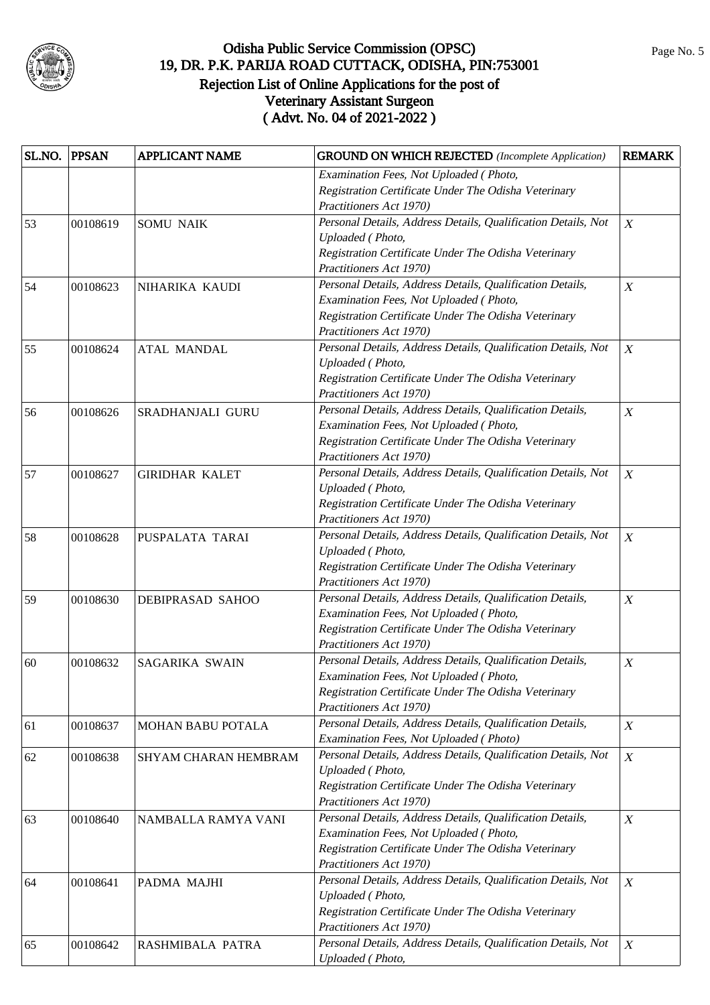

| SL.NO. | <b>PPSAN</b> | <b>APPLICANT NAME</b> | <b>GROUND ON WHICH REJECTED</b> (Incomplete Application)      | <b>REMARK</b>    |
|--------|--------------|-----------------------|---------------------------------------------------------------|------------------|
|        |              |                       | Examination Fees, Not Uploaded (Photo,                        |                  |
|        |              |                       | Registration Certificate Under The Odisha Veterinary          |                  |
|        |              |                       | Practitioners Act 1970)                                       |                  |
| 53     | 00108619     | <b>SOMU NAIK</b>      | Personal Details, Address Details, Qualification Details, Not | $\boldsymbol{X}$ |
|        |              |                       | Uploaded (Photo,                                              |                  |
|        |              |                       | Registration Certificate Under The Odisha Veterinary          |                  |
|        |              |                       | Practitioners Act 1970)                                       |                  |
| 54     | 00108623     | NIHARIKA KAUDI        | Personal Details, Address Details, Qualification Details,     | $\boldsymbol{X}$ |
|        |              |                       | Examination Fees, Not Uploaded (Photo,                        |                  |
|        |              |                       | Registration Certificate Under The Odisha Veterinary          |                  |
|        |              |                       | Practitioners Act 1970)                                       |                  |
| 55     | 00108624     | <b>ATAL MANDAL</b>    | Personal Details, Address Details, Qualification Details, Not | $\boldsymbol{X}$ |
|        |              |                       | Uploaded (Photo,                                              |                  |
|        |              |                       | Registration Certificate Under The Odisha Veterinary          |                  |
|        |              |                       | Practitioners Act 1970)                                       |                  |
| 56     | 00108626     | SRADHANJALI GURU      | Personal Details, Address Details, Qualification Details,     | $\boldsymbol{X}$ |
|        |              |                       | Examination Fees, Not Uploaded (Photo,                        |                  |
|        |              |                       | Registration Certificate Under The Odisha Veterinary          |                  |
|        |              |                       | Practitioners Act 1970)                                       |                  |
| 57     | 00108627     | <b>GIRIDHAR KALET</b> | Personal Details, Address Details, Qualification Details, Not | $\boldsymbol{X}$ |
|        |              |                       | Uploaded (Photo,                                              |                  |
|        |              |                       | Registration Certificate Under The Odisha Veterinary          |                  |
|        |              |                       | Practitioners Act 1970)                                       |                  |
| 58     | 00108628     | PUSPALATA TARAI       | Personal Details, Address Details, Qualification Details, Not | $\boldsymbol{X}$ |
|        |              |                       | Uploaded (Photo,                                              |                  |
|        |              |                       | Registration Certificate Under The Odisha Veterinary          |                  |
|        |              |                       | Practitioners Act 1970)                                       |                  |
| 59     | 00108630     | DEBIPRASAD SAHOO      | Personal Details, Address Details, Qualification Details,     | X                |
|        |              |                       | Examination Fees, Not Uploaded (Photo,                        |                  |
|        |              |                       | Registration Certificate Under The Odisha Veterinary          |                  |
|        |              |                       | Practitioners Act 1970)                                       |                  |
| 60     | 00108632     | SAGARIKA SWAIN        | Personal Details, Address Details, Qualification Details,     | $\boldsymbol{X}$ |
|        |              |                       | Examination Fees, Not Uploaded (Photo,                        |                  |
|        |              |                       | Registration Certificate Under The Odisha Veterinary          |                  |
|        |              |                       | Practitioners Act 1970)                                       |                  |
| 61     | 00108637     | MOHAN BABU POTALA     | Personal Details, Address Details, Qualification Details,     | $\boldsymbol{X}$ |
|        |              |                       | Examination Fees, Not Uploaded (Photo)                        |                  |
| 62     | 00108638     | SHYAM CHARAN HEMBRAM  | Personal Details, Address Details, Qualification Details, Not | $\boldsymbol{X}$ |
|        |              |                       | Uploaded (Photo,                                              |                  |
|        |              |                       | Registration Certificate Under The Odisha Veterinary          |                  |
|        |              |                       | Practitioners Act 1970)                                       |                  |
| 63     | 00108640     | NAMBALLA RAMYA VANI   | Personal Details, Address Details, Qualification Details,     | $\boldsymbol{X}$ |
|        |              |                       | Examination Fees, Not Uploaded (Photo,                        |                  |
|        |              |                       | Registration Certificate Under The Odisha Veterinary          |                  |
|        |              |                       | Practitioners Act 1970)                                       |                  |
| 64     | 00108641     | PADMA MAJHI           | Personal Details, Address Details, Qualification Details, Not | $\boldsymbol{X}$ |
|        |              |                       | Uploaded (Photo,                                              |                  |
|        |              |                       | Registration Certificate Under The Odisha Veterinary          |                  |
|        |              |                       | Practitioners Act 1970)                                       |                  |
| 65     | 00108642     | RASHMIBALA PATRA      | Personal Details, Address Details, Qualification Details, Not | $\boldsymbol{X}$ |
|        |              |                       | Uploaded (Photo,                                              |                  |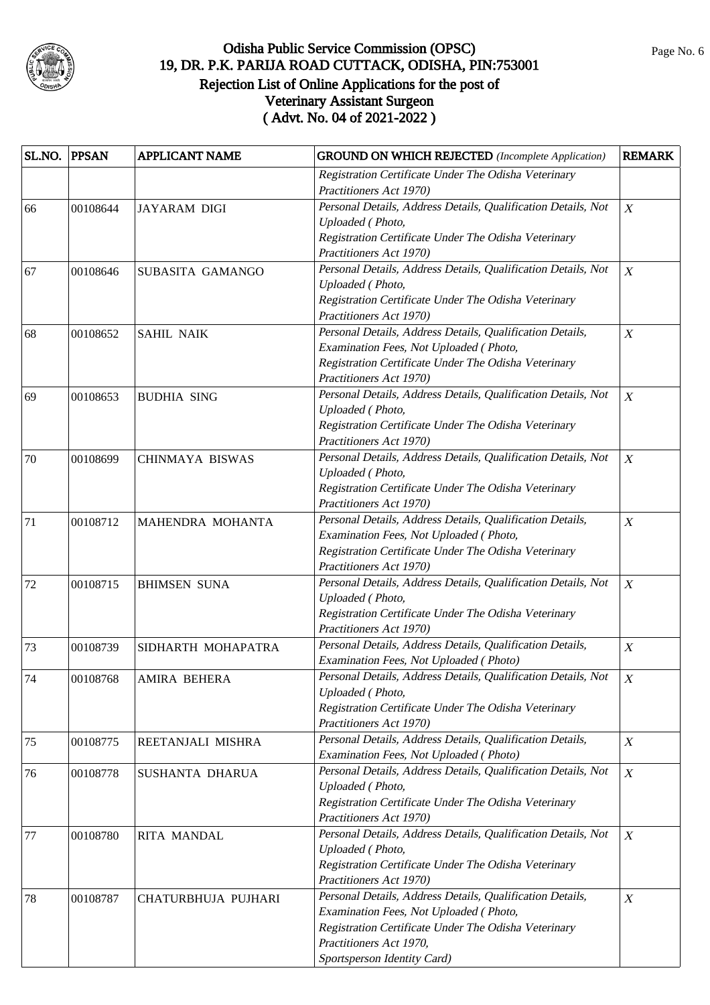

| SL.NO. | <b>PPSAN</b> | <b>APPLICANT NAME</b>  | <b>GROUND ON WHICH REJECTED</b> (Incomplete Application)      | <b>REMARK</b>    |
|--------|--------------|------------------------|---------------------------------------------------------------|------------------|
|        |              |                        | Registration Certificate Under The Odisha Veterinary          |                  |
|        |              |                        | Practitioners Act 1970)                                       |                  |
| 66     | 00108644     | <b>JAYARAM DIGI</b>    | Personal Details, Address Details, Qualification Details, Not | $\boldsymbol{X}$ |
|        |              |                        | Uploaded (Photo,                                              |                  |
|        |              |                        | Registration Certificate Under The Odisha Veterinary          |                  |
|        |              |                        | Practitioners Act 1970)                                       |                  |
| 67     | 00108646     | SUBASITA GAMANGO       | Personal Details, Address Details, Qualification Details, Not | $\boldsymbol{X}$ |
|        |              |                        | Uploaded (Photo,                                              |                  |
|        |              |                        | Registration Certificate Under The Odisha Veterinary          |                  |
|        |              |                        | Practitioners Act 1970)                                       |                  |
| 68     | 00108652     | <b>SAHIL NAIK</b>      | Personal Details, Address Details, Qualification Details,     | $\boldsymbol{X}$ |
|        |              |                        | Examination Fees, Not Uploaded (Photo,                        |                  |
|        |              |                        | Registration Certificate Under The Odisha Veterinary          |                  |
|        |              |                        | Practitioners Act 1970)                                       |                  |
| 69     | 00108653     | <b>BUDHIA SING</b>     | Personal Details, Address Details, Qualification Details, Not | $\boldsymbol{X}$ |
|        |              |                        | Uploaded (Photo,                                              |                  |
|        |              |                        | Registration Certificate Under The Odisha Veterinary          |                  |
|        |              |                        | Practitioners Act 1970)                                       |                  |
| 70     | 00108699     | <b>CHINMAYA BISWAS</b> | Personal Details, Address Details, Qualification Details, Not | $\boldsymbol{X}$ |
|        |              |                        | Uploaded (Photo,                                              |                  |
|        |              |                        | Registration Certificate Under The Odisha Veterinary          |                  |
|        |              |                        | Practitioners Act 1970)                                       |                  |
| 71     | 00108712     | MAHENDRA MOHANTA       | Personal Details, Address Details, Qualification Details,     | $\boldsymbol{X}$ |
|        |              |                        | Examination Fees, Not Uploaded (Photo,                        |                  |
|        |              |                        | Registration Certificate Under The Odisha Veterinary          |                  |
|        |              |                        | Practitioners Act 1970)                                       |                  |
| 72     | 00108715     | <b>BHIMSEN SUNA</b>    | Personal Details, Address Details, Qualification Details, Not | $\boldsymbol{X}$ |
|        |              |                        | Uploaded (Photo,                                              |                  |
|        |              |                        | Registration Certificate Under The Odisha Veterinary          |                  |
|        |              |                        | Practitioners Act 1970)                                       |                  |
| 73     | 00108739     | SIDHARTH MOHAPATRA     | Personal Details, Address Details, Qualification Details,     | $\boldsymbol{X}$ |
|        |              |                        | Examination Fees, Not Uploaded (Photo)                        |                  |
| 74     | 00108768     | AMIRA BEHERA           | Personal Details, Address Details, Qualification Details, Not | $\boldsymbol{X}$ |
|        |              |                        | Uploaded (Photo,                                              |                  |
|        |              |                        | Registration Certificate Under The Odisha Veterinary          |                  |
|        |              |                        | Practitioners Act 1970)                                       |                  |
| 75     | 00108775     | REETANJALI MISHRA      | Personal Details, Address Details, Qualification Details,     | $\boldsymbol{X}$ |
|        |              |                        | Examination Fees, Not Uploaded (Photo)                        |                  |
| 76     | 00108778     | SUSHANTA DHARUA        | Personal Details, Address Details, Qualification Details, Not | $\boldsymbol{X}$ |
|        |              |                        | Uploaded (Photo,                                              |                  |
|        |              |                        | Registration Certificate Under The Odisha Veterinary          |                  |
|        |              |                        | Practitioners Act 1970)                                       |                  |
| 77     | 00108780     | <b>RITA MANDAL</b>     | Personal Details, Address Details, Qualification Details, Not | $\boldsymbol{X}$ |
|        |              |                        | Uploaded (Photo,                                              |                  |
|        |              |                        | Registration Certificate Under The Odisha Veterinary          |                  |
|        |              |                        | Practitioners Act 1970)                                       |                  |
| 78     | 00108787     | CHATURBHUJA PUJHARI    | Personal Details, Address Details, Qualification Details,     | $\boldsymbol{X}$ |
|        |              |                        | Examination Fees, Not Uploaded (Photo,                        |                  |
|        |              |                        | Registration Certificate Under The Odisha Veterinary          |                  |
|        |              |                        | Practitioners Act 1970,                                       |                  |
|        |              |                        | Sportsperson Identity Card)                                   |                  |